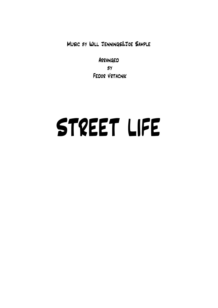Music by Will Jennings&Joe Sample

Arranged  $BY$ Fedor Vrtacnik

## STREET LIFE